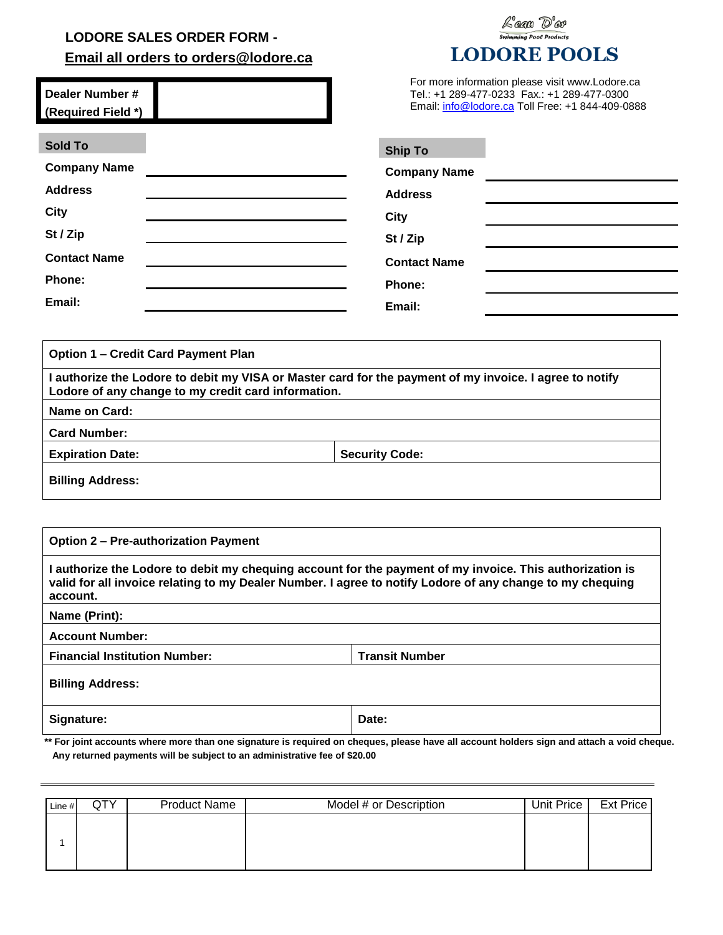## **LODORE SALES ORDER FORM - Email all orders to orders@lodore.ca**

## Lax D'er Swimming Pool Products **LODORE POOLS**

| Dealer Number #    | For more information please visit www.Lodore.ca  |
|--------------------|--------------------------------------------------|
| (Required Field *) | Email: info@lodore.ca Toll Free: +1 844-409-0888 |

| <b>Sold To</b>      | <b>Ship To</b>      |  |
|---------------------|---------------------|--|
| <b>Company Name</b> | <b>Company Name</b> |  |
| <b>Address</b>      | <b>Address</b>      |  |
| <b>City</b>         | <b>City</b>         |  |
| St / Zip            | St / Zip            |  |
| <b>Contact Name</b> | <b>Contact Name</b> |  |
| Phone:              | Phone:              |  |
| Email:              | Email:              |  |

**Option 1 – Credit Card Payment Plan**

| I authorize the Lodore to debit my VISA or Master card for the payment of my invoice. I agree to notify<br>Lodore of any change to my credit card information. |                       |  |  |
|----------------------------------------------------------------------------------------------------------------------------------------------------------------|-----------------------|--|--|
| Name on Card:                                                                                                                                                  |                       |  |  |
| <b>Card Number:</b>                                                                                                                                            |                       |  |  |
| <b>Expiration Date:</b>                                                                                                                                        | <b>Security Code:</b> |  |  |
| <b>Billing Address:</b>                                                                                                                                        |                       |  |  |

| <b>Option 2 – Pre-authorization Payment</b>                                                                                                                                                                                       |                       |  |  |  |
|-----------------------------------------------------------------------------------------------------------------------------------------------------------------------------------------------------------------------------------|-----------------------|--|--|--|
| l authorize the Lodore to debit my chequing account for the payment of my invoice. This authorization is<br>valid for all invoice relating to my Dealer Number. I agree to notify Lodore of any change to my chequing<br>account. |                       |  |  |  |
| Name (Print):                                                                                                                                                                                                                     |                       |  |  |  |
| <b>Account Number:</b>                                                                                                                                                                                                            |                       |  |  |  |
| <b>Financial Institution Number:</b>                                                                                                                                                                                              | <b>Transit Number</b> |  |  |  |
| <b>Billing Address:</b>                                                                                                                                                                                                           |                       |  |  |  |
| Signature:                                                                                                                                                                                                                        | Date:                 |  |  |  |

 **\*\* For joint accounts where more than one signature is required on cheques, please have all account holders sign and attach a void cheque. Any returned payments will be subject to an administrative fee of \$20.00**

| Line # | QIY | <b>Product Name</b> | Model # or Description | Unit Price | Ext Price |
|--------|-----|---------------------|------------------------|------------|-----------|
|        |     |                     |                        |            |           |
|        |     |                     |                        |            |           |
|        |     |                     |                        |            |           |